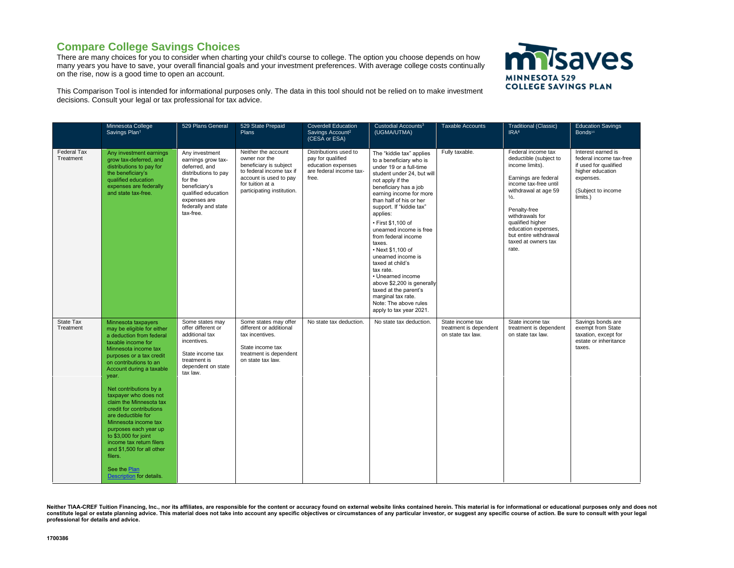## **Compare College Savings Choices**

There are many choices for you to consider when charting your child's course to college. The option you choose depends on how many years you have to save, your overall financial goals and your investment preferences. With average college costs continually on the rise, now is a good time to open an account.



This Comparison Tool is intended for informational purposes only. The data in this tool should not be relied on to make investment decisions. Consult your legal or tax professional for tax advice.

|                                 | Minnesota College<br>Savings Plan <sup>1</sup>                                                                                                                                                                                                                                                                                                                                                                                                                                                                                                  | 529 Plans General                                                                                                                                                                    | 529 State Prepaid<br>Plans                                                                                                                                             | <b>Coverdell Education</b><br>Savings Account <sup>2</sup><br>(CESA or ESA)                          | Custodial Accounts <sup>3</sup><br>(UGMA/UTMA)                                                                                                                                                                                                                                                                                                                                                                                                                                                                                                                              | <b>Taxable Accounts</b>                                         | <b>Traditional (Classic)</b><br>IRA <sup>4</sup>                                                                                                                                                                                                                                                   | <b>Education Savings</b><br>Bonds <sup>3,5</sup>                                                                                          |
|---------------------------------|-------------------------------------------------------------------------------------------------------------------------------------------------------------------------------------------------------------------------------------------------------------------------------------------------------------------------------------------------------------------------------------------------------------------------------------------------------------------------------------------------------------------------------------------------|--------------------------------------------------------------------------------------------------------------------------------------------------------------------------------------|------------------------------------------------------------------------------------------------------------------------------------------------------------------------|------------------------------------------------------------------------------------------------------|-----------------------------------------------------------------------------------------------------------------------------------------------------------------------------------------------------------------------------------------------------------------------------------------------------------------------------------------------------------------------------------------------------------------------------------------------------------------------------------------------------------------------------------------------------------------------------|-----------------------------------------------------------------|----------------------------------------------------------------------------------------------------------------------------------------------------------------------------------------------------------------------------------------------------------------------------------------------------|-------------------------------------------------------------------------------------------------------------------------------------------|
| <b>Federal Tax</b><br>Treatment | Any investment earnings<br>grow tax-deferred, and<br>distributions to pay for<br>the beneficiary's<br>qualified education<br>expenses are federally<br>and state tax-free.                                                                                                                                                                                                                                                                                                                                                                      | Any investment<br>earnings grow tax-<br>deferred, and<br>distributions to pay<br>for the<br>beneficiary's<br>qualified education<br>expenses are<br>federally and state<br>tax-free. | Neither the account<br>owner nor the<br>beneficiary is subject<br>to federal income tax if<br>account is used to pay<br>for tuition at a<br>participating institution. | Distributions used to<br>pay for qualified<br>education expenses<br>are federal income tax-<br>free. | The "kiddie tax" applies<br>to a beneficiary who is<br>under 19 or a full-time<br>student under 24, but will<br>not apply if the<br>beneficiary has a job<br>earning income for more<br>than half of his or her<br>support. If "kiddie tax"<br>applies:<br>• First \$1,100 of<br>unearned income is free<br>from federal income<br>taxes.<br>• Next \$1,100 of<br>unearned income is<br>taxed at child's<br>tax rate.<br>• Unearned income<br>above \$2,200 is generally<br>taxed at the parent's<br>marginal tax rate.<br>Note: The above rules<br>apply to tax year 2021. | Fully taxable.                                                  | Federal income tax<br>deductible (subject to<br>income limits).<br>Earnings are federal<br>income tax-free until<br>withdrawal at age 59<br>$\frac{1}{2}$ .<br>Penalty-free<br>withdrawals for<br>qualified higher<br>education expenses,<br>but entire withdrawal<br>taxed at owners tax<br>rate. | Interest earned is<br>federal income tax-free<br>if used for qualified<br>higher education<br>expenses.<br>(Subject to income<br>limits.) |
| State Tax<br>Treatment          | Minnesota taxpayers<br>may be eligible for either<br>a deduction from federal<br>taxable income for<br>Minnesota income tax<br>purposes or a tax credit<br>on contributions to an<br>Account during a taxable<br>year.<br>Net contributions by a<br>taxpayer who does not<br>claim the Minnesota tax<br>credit for contributions<br>are deductible for<br>Minnesota income tax<br>purposes each year up<br>to \$3,000 for joint<br>income tax return filers<br>and \$1,500 for all other<br>filers.<br>See the Plan<br>Description for details. | Some states may<br>offer different or<br>additional tax<br>incentives.<br>State income tax<br>treatment is<br>dependent on state<br>tax law.                                         | Some states may offer<br>different or additional<br>tax incentives.<br>State income tax<br>treatment is dependent<br>on state tax law.                                 | No state tax deduction.                                                                              | No state tax deduction.                                                                                                                                                                                                                                                                                                                                                                                                                                                                                                                                                     | State income tax<br>treatment is dependent<br>on state tax law. | State income tax<br>treatment is dependent<br>on state tax law.                                                                                                                                                                                                                                    | Savings bonds are<br>exempt from State<br>taxation, except for<br>estate or inheritance<br>taxes.                                         |

Neither TIAA-CREF Tuition Financing, Inc., nor its affiliates, are responsible for the content or accuracy found on external website links contained herein. This material is for informational or educational purposes only a constitute legal or estate planning advice. This material does not take into account any specific objectives or circumstances of any particular investor, or suggest any specific course of action. Be sure to consult with yo **professional for details and advice.**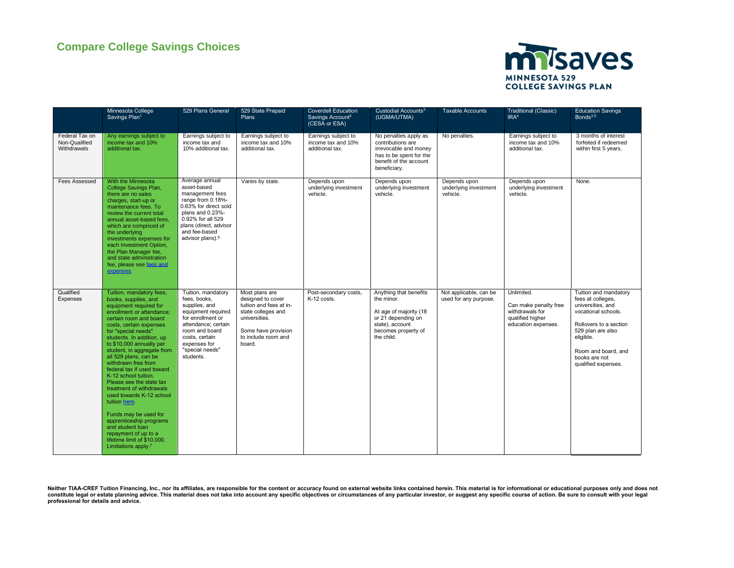

|                                                | Minnesota College<br>Savings Plan <sup>1</sup>                                                                                                                                                                                                                                                                                                                                                                                                                                                                                                                                                                                                          | 529 Plans General                                                                                                                                                                                                  | 529 State Prepaid<br><b>Plans</b>                                                                                                                             | <b>Coverdell Education</b><br>Savings Account <sup>2</sup><br>(CESA or ESA) | Custodial Accounts <sup>3</sup><br>(UGMA/UTMA)                                                                                               | <b>Taxable Accounts</b>                           | <b>Traditional (Classic)</b><br>IRA <sup>4</sup>                                                  | <b>Education Savings</b><br>Bonds $3,5$                                                                                                                                                                           |
|------------------------------------------------|---------------------------------------------------------------------------------------------------------------------------------------------------------------------------------------------------------------------------------------------------------------------------------------------------------------------------------------------------------------------------------------------------------------------------------------------------------------------------------------------------------------------------------------------------------------------------------------------------------------------------------------------------------|--------------------------------------------------------------------------------------------------------------------------------------------------------------------------------------------------------------------|---------------------------------------------------------------------------------------------------------------------------------------------------------------|-----------------------------------------------------------------------------|----------------------------------------------------------------------------------------------------------------------------------------------|---------------------------------------------------|---------------------------------------------------------------------------------------------------|-------------------------------------------------------------------------------------------------------------------------------------------------------------------------------------------------------------------|
| Federal Tax on<br>Non-Qualified<br>Withdrawals | Any earnings subject to<br>income tax and 10%<br>additional tax.                                                                                                                                                                                                                                                                                                                                                                                                                                                                                                                                                                                        | Earnings subject to<br>income tax and<br>10% additional tax.                                                                                                                                                       | Earnings subject to<br>income tax and 10%<br>additional tax.                                                                                                  | Earnings subject to<br>income tax and 10%<br>additional tax.                | No penalties apply as<br>contributions are<br>irrevocable and money<br>has to be spent for the<br>benefit of the account<br>beneficiary.     | No penalties.                                     | Earnings subject to<br>income tax and 10%<br>additional tax.                                      | 3 months of interest<br>forfeited if redeemed<br>within first 5 years.                                                                                                                                            |
| <b>Fees Assessed</b>                           | With the Minnesota<br>College Savings Plan,<br>there are no sales<br>charges, start-up or<br>maintenance fees. To<br>review the current total<br>annual asset-based fees,<br>which are comprised of<br>the underlying<br>investments expenses for<br>each Investment Option,<br>the Plan Manager fee,<br>and state administration<br>fee, please see fees and<br>expenses.                                                                                                                                                                                                                                                                              | Average annual<br>asset-based<br>management fees<br>range from 0.18%-<br>0.63% for direct sold<br>plans and 0.23%-<br>0.92% for all 529<br>plans (direct, advisor<br>and fee-based<br>advisor plans). <sup>6</sup> | Varies by state.                                                                                                                                              | Depends upon<br>underlying investment<br>vehicle.                           | Depends upon<br>underlying investment<br>vehicle.                                                                                            | Depends upon<br>underlying investment<br>vehicle. | Depends upon<br>underlying investment<br>vehicle.                                                 | None.                                                                                                                                                                                                             |
| Qualified<br><b>Expenses</b>                   | Tuition, mandatory fees,<br>books, supplies, and<br>equipment required for<br>enrollment or attendance;<br>certain room and board<br>costs, certain expenses<br>for "special needs"<br>students. In addition, up<br>to \$10,000 annually per<br>student, in aggregate from<br>all 529 plans, can be<br>withdrawn free from<br>federal tax if used toward<br>K-12 school tuition.<br>Please see the state tax<br>treatment of withdrawals<br>used towards K-12 school<br>tuition here.<br>Funds may be used for<br>apprenticeship programs<br>and student loan<br>repayment of up to a<br>lifetime limit of \$10,000.<br>Limitations apply. <sup>7</sup> | Tuition, mandatory<br>fees, books.<br>supplies, and<br>equipment required<br>for enrollment or<br>attendance: certain<br>room and board<br>costs, certain<br>expenses for<br>"special needs"<br>students.          | Most plans are<br>designed to cover<br>tuition and fees at in-<br>state colleges and<br>universities.<br>Some have provision<br>to include room and<br>board. | Post-secondary costs,<br>K-12 costs.                                        | Anything that benefits<br>the minor.<br>At age of majority (18<br>or 21 depending on<br>state), account<br>becomes property of<br>the child. | Not applicable, can be<br>used for any purpose.   | Unlimited.<br>Can make penalty free<br>withdrawals for<br>qualified higher<br>education expenses. | Tuition and mandatory<br>fees at colleges,<br>universities, and<br>vocational schools.<br>Rollovers to a section<br>529 plan are also<br>eligible.<br>Room and board, and<br>books are not<br>qualified expenses. |

Neither TIAA-CREF Tuition Financing, Inc., nor its affiliates, are responsible for the content or accuracy found on external website links contained herein. This material is for informational or educational purposes only a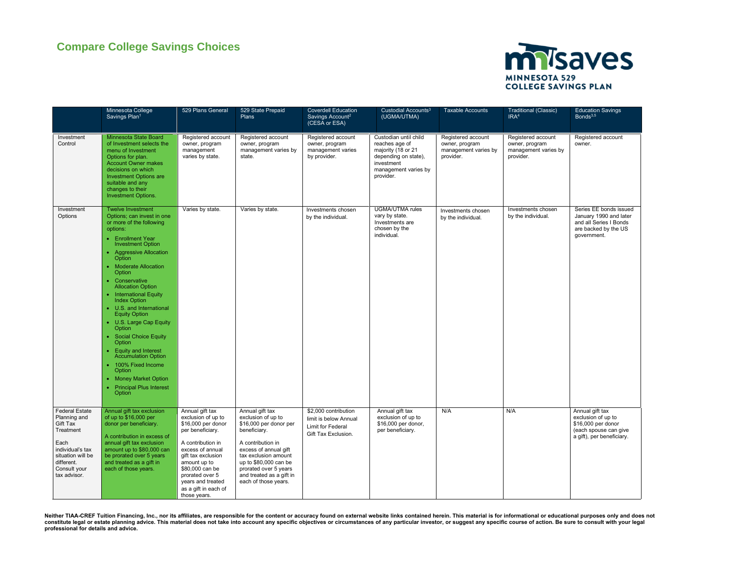

|                                                                                                                                                               | Minnesota College<br>Savings Plan <sup>1</sup>                                                                                                                                                                                                                                                                                                                                                                                                                                                                                                                                                                                                                       | 529 Plans General                                                                                                                                                                                                                                                 | 529 State Prepaid<br><b>Plans</b>                                                                                                                                                                                                                           | <b>Coverdell Education</b><br>Savings Account <sup>2</sup><br>(CESA or ESA)               | Custodial Accounts <sup>3</sup><br>(UGMA/UTMA)                                                                                           | <b>Taxable Accounts</b>                                                   | <b>Traditional (Classic)</b><br>IRA <sup>4</sup>                          | <b>Education Savings</b><br>Bonds <sup>3,5</sup>                                                                  |
|---------------------------------------------------------------------------------------------------------------------------------------------------------------|----------------------------------------------------------------------------------------------------------------------------------------------------------------------------------------------------------------------------------------------------------------------------------------------------------------------------------------------------------------------------------------------------------------------------------------------------------------------------------------------------------------------------------------------------------------------------------------------------------------------------------------------------------------------|-------------------------------------------------------------------------------------------------------------------------------------------------------------------------------------------------------------------------------------------------------------------|-------------------------------------------------------------------------------------------------------------------------------------------------------------------------------------------------------------------------------------------------------------|-------------------------------------------------------------------------------------------|------------------------------------------------------------------------------------------------------------------------------------------|---------------------------------------------------------------------------|---------------------------------------------------------------------------|-------------------------------------------------------------------------------------------------------------------|
| Investment<br>Control                                                                                                                                         | Minnesota State Board<br>of Investment selects the<br>menu of Investment<br>Options for plan.<br><b>Account Owner makes</b><br>decisions on which<br><b>Investment Options are</b><br>suitable and any<br>changes to their<br><b>Investment Options.</b>                                                                                                                                                                                                                                                                                                                                                                                                             | Registered account<br>owner, program<br>management<br>varies by state.                                                                                                                                                                                            | Registered account<br>owner, program<br>management varies by<br>state.                                                                                                                                                                                      | Registered account<br>owner, program<br>management varies<br>by provider.                 | Custodian until child<br>reaches age of<br>majority (18 or 21<br>depending on state),<br>investment<br>management varies by<br>provider. | Registered account<br>owner, program<br>management varies by<br>provider. | Registered account<br>owner, program<br>management varies by<br>provider. | Registered account<br>owner.                                                                                      |
| Investment<br>Options                                                                                                                                         | <b>Twelve Investment</b><br>Options; can invest in one<br>or more of the following<br>options:<br><b>Enrollment Year</b><br><b>Investment Option</b><br><b>Aggressive Allocation</b><br>$\bullet$<br>Option<br><b>Moderate Allocation</b><br>Option<br>Conservative<br><b>Allocation Option</b><br><b>International Equity</b><br><b>Index Option</b><br>• U.S. and International<br><b>Equity Option</b><br>U.S. Large Cap Equity<br>Option<br><b>Social Choice Equity</b><br>Option<br><b>Equity and Interest</b><br><b>Accumulation Option</b><br>100% Fixed Income<br>۰<br>Option<br><b>Money Market Option</b><br><b>Principal Plus Interest</b><br>۰<br>Option | Varies by state.                                                                                                                                                                                                                                                  | Varies by state.                                                                                                                                                                                                                                            | Investments chosen<br>by the individual.                                                  | <b>UGMA/UTMA</b> rules<br>vary by state.<br>Investments are<br>chosen by the<br>individual.                                              | Investments chosen<br>by the individual.                                  | Investments chosen<br>by the individual.                                  | Series EE bonds issued<br>January 1990 and later<br>and all Series I Bonds<br>are backed by the US<br>government. |
| <b>Federal Estate</b><br>Planning and<br>Gift Tax<br>Treatment<br>Each<br>individual's tax<br>situation will be<br>different.<br>Consult your<br>tax advisor. | Annual gift tax exclusion<br>of up to \$16,000 per<br>donor per beneficiary.<br>A contribution in excess of<br>annual gift tax exclusion<br>amount up to \$80,000 can<br>be prorated over 5 years<br>and treated as a gift in<br>each of those years.                                                                                                                                                                                                                                                                                                                                                                                                                | Annual gift tax<br>exclusion of up to<br>\$16,000 per donor<br>per beneficiary.<br>A contribution in<br>excess of annual<br>gift tax exclusion<br>amount up to<br>\$80,000 can be<br>prorated over 5<br>years and treated<br>as a gift in each of<br>those years. | Annual gift tax<br>exclusion of up to<br>\$16,000 per donor per<br>beneficiary.<br>A contribution in<br>excess of annual gift<br>tax exclusion amount<br>up to \$80,000 can be<br>prorated over 5 years<br>and treated as a gift in<br>each of those years. | \$2,000 contribution<br>limit is below Annual<br>Limit for Federal<br>Gift Tax Exclusion. | Annual gift tax<br>exclusion of up to<br>\$16,000 per donor,<br>per beneficiary.                                                         | N/A                                                                       | N/A                                                                       | Annual gift tax<br>exclusion of up to<br>\$16,000 per donor<br>(each spouse can give<br>a gift), per beneficiary. |

Neither TIAA-CREF Tuition Financing, Inc., nor its affiliates, are responsible for the content or accuracy found on external website links contained herein. This material is for informational or educational purposes only a constitute legal or estate planning advice. This material does not take into account any specific objectives or circumstances of any particular investor, or suggest any specific course of action. Be sure to consult with yo **professional for details and advice.**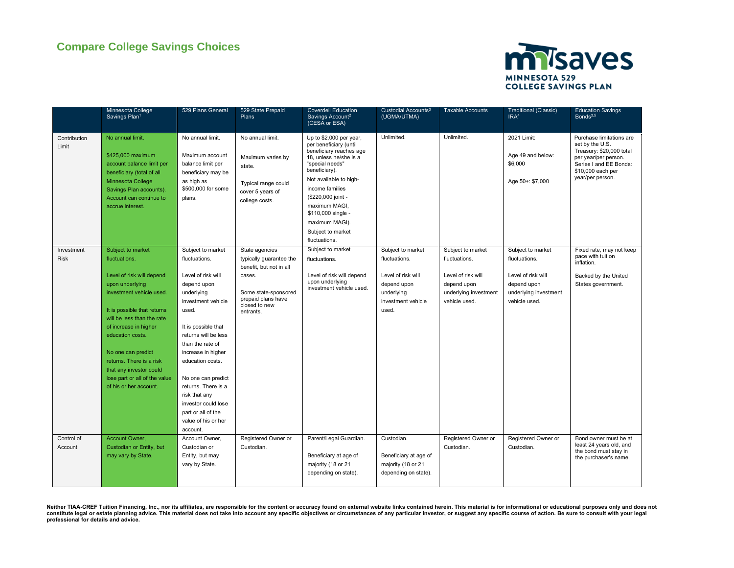

|                           | Minnesota College<br>Savings Plan <sup>1</sup>                                                                                                                                                 | 529 Plans General                                                                                                            | 529 State Prepaid<br>Plans                                                                                   | <b>Coverdell Education</b><br>Savings Account <sup>2</sup><br>(CESA or ESA)                                                                                                                                                                                                                                  | Custodial Accounts <sup>3</sup><br>(UGMA/UTMA)                                    | <b>Taxable Accounts</b>                                  | <b>Traditional (Classic)</b><br>IRA <sup>4</sup>                | <b>Education Savings</b><br>Bonds <sup>3,5</sup>                                                                                                                   |
|---------------------------|------------------------------------------------------------------------------------------------------------------------------------------------------------------------------------------------|------------------------------------------------------------------------------------------------------------------------------|--------------------------------------------------------------------------------------------------------------|--------------------------------------------------------------------------------------------------------------------------------------------------------------------------------------------------------------------------------------------------------------------------------------------------------------|-----------------------------------------------------------------------------------|----------------------------------------------------------|-----------------------------------------------------------------|--------------------------------------------------------------------------------------------------------------------------------------------------------------------|
| Contribution<br>Limit     | No annual limit.<br>\$425,000 maximum<br>account balance limit per<br>beneficiary (total of all<br>Minnesota College<br>Savings Plan accounts).<br>Account can continue to<br>accrue interest. | No annual limit.<br>Maximum account<br>balance limit per<br>beneficiary may be<br>as high as<br>\$500,000 for some<br>plans. | No annual limit.<br>Maximum varies by<br>state.<br>Typical range could<br>cover 5 years of<br>college costs. | Up to \$2,000 per year,<br>per beneficiary (until<br>beneficiary reaches age<br>18. unless he/she is a<br>"special needs"<br>beneficiary).<br>Not available to high-<br>income families<br>(\$220,000 joint -<br>maximum MAGI,<br>\$110,000 single -<br>maximum MAGI).<br>Subject to market<br>fluctuations. | Unlimited.                                                                        | Unlimited.                                               | 2021 Limit:<br>Age 49 and below:<br>\$6,000<br>Age 50+: \$7,000 | Purchase limitations are<br>set by the U.S.<br>Treasury: \$20,000 total<br>per year/per person.<br>Series I and EE Bonds:<br>\$10,000 each per<br>year/per person. |
| Investment<br><b>Risk</b> | Subject to market<br>fluctuations.<br>Level of risk will depend                                                                                                                                | Subject to market<br>fluctuations.<br>Level of risk will                                                                     | State agencies<br>typically guarantee the<br>benefit, but not in all<br>cases.                               | Subject to market<br>fluctuations.<br>Level of risk will depend<br>upon underlying                                                                                                                                                                                                                           | Subject to market<br>fluctuations.<br>Level of risk will                          | Subject to market<br>fluctuations.<br>Level of risk will | Subject to market<br>fluctuations.<br>Level of risk will        | Fixed rate, may not keep<br>pace with tuition<br>inflation.<br>Backed by the United                                                                                |
|                           | upon underlying<br>investment vehicle used.<br>It is possible that returns                                                                                                                     | depend upon<br>underlying<br>investment vehicle<br>used.                                                                     | Some state-sponsored<br>prepaid plans have<br>closed to new<br>entrants.                                     | investment vehicle used.                                                                                                                                                                                                                                                                                     | depend upon<br>underlying<br>investment vehicle<br>used.                          | depend upon<br>underlying investment<br>vehicle used.    | depend upon<br>underlying investment<br>vehicle used.           | States government.                                                                                                                                                 |
|                           | will be less than the rate<br>of increase in higher<br>education costs.                                                                                                                        | It is possible that<br>returns will be less                                                                                  |                                                                                                              |                                                                                                                                                                                                                                                                                                              |                                                                                   |                                                          |                                                                 |                                                                                                                                                                    |
|                           | No one can predict<br>returns. There is a risk                                                                                                                                                 | than the rate of<br>increase in higher<br>education costs.                                                                   |                                                                                                              |                                                                                                                                                                                                                                                                                                              |                                                                                   |                                                          |                                                                 |                                                                                                                                                                    |
|                           | that any investor could<br>lose part or all of the value<br>of his or her account.                                                                                                             | No one can predict<br>returns. There is a<br>risk that any                                                                   |                                                                                                              |                                                                                                                                                                                                                                                                                                              |                                                                                   |                                                          |                                                                 |                                                                                                                                                                    |
|                           |                                                                                                                                                                                                | investor could lose<br>part or all of the<br>value of his or her<br>account.                                                 |                                                                                                              |                                                                                                                                                                                                                                                                                                              |                                                                                   |                                                          |                                                                 |                                                                                                                                                                    |
| Control of<br>Account     | Account Owner,<br>Custodian or Entity, but<br>may vary by State.                                                                                                                               | Account Owner.<br>Custodian or<br>Entity, but may<br>vary by State.                                                          | Registered Owner or<br>Custodian.                                                                            | Parent/Legal Guardian.<br>Beneficiary at age of<br>majority (18 or 21<br>depending on state).                                                                                                                                                                                                                | Custodian.<br>Beneficiary at age of<br>majority (18 or 21<br>depending on state). | Registered Owner or<br>Custodian.                        | Registered Owner or<br>Custodian.                               | Bond owner must be at<br>least 24 years old, and<br>the bond must stay in<br>the purchaser's name.                                                                 |

Neither TIAA-CREF Tuition Financing, Inc., nor its affiliates, are responsible for the content or accuracy found on external website links contained herein. This material is for informational or educational purposes only a